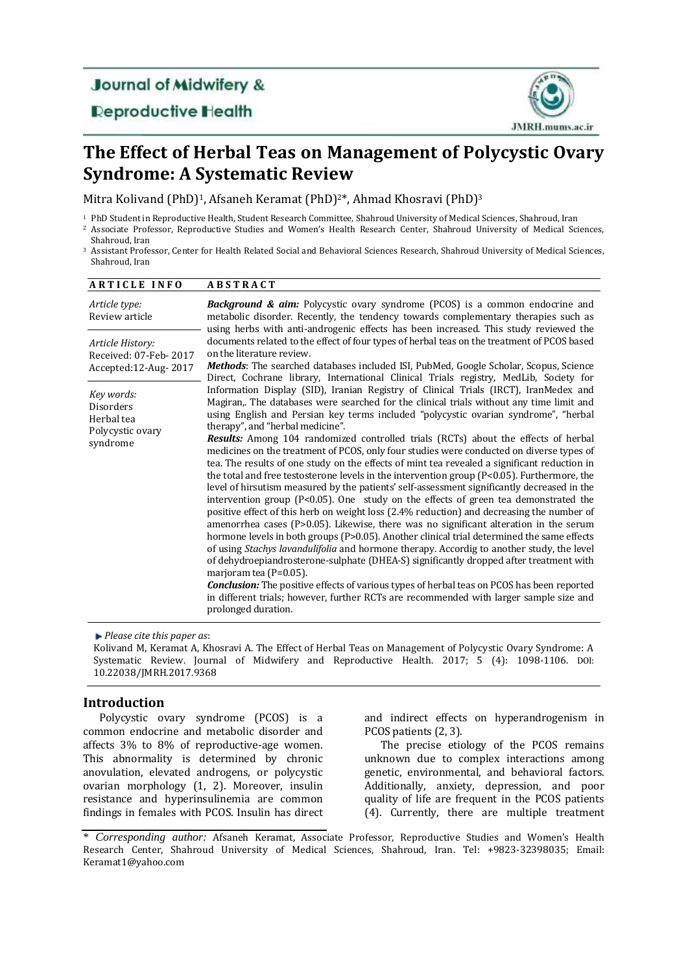# **Journal of Midwifery &**

# **Deproductive Health**



# **The Effect of Herbal Teas on Management of Polycystic Ovary Syndrome: A Systematic Review**

Mitra Kolivand (PhD)<sup>1</sup>, Afsaneh Keramat (PhD)<sup>2\*</sup>, Ahmad Khosravi (PhD)<sup>3</sup>

- <sup>1</sup> PhD Student in Reproductive Health, Student Research Committee, Shahroud University of Medical Sciences, Shahroud, Iran <sup>2</sup> Associate Professor, Reproductive Studies and Women's Health Research Center, Shahroud University of Medical Sciences,
- Shahroud, Iran
- <sup>3</sup> Assistant Professor, Center for Health Related Social and Behavioral Sciences Research, Shahroud University of Medical Sciences, Shahroud, Iran

| <b>ARTICLE INFO</b>                                                          | <b>ABSTRACT</b>                                                                                                                                                                                                                                                                                                                                                                                                                                                                                                                                                                                                                                                                                                                                                                                                                                                                                                                                                                                                                                                                                                                                                                                                                                                                                                                                                                                                                                                                                                                                                                                                         |
|------------------------------------------------------------------------------|-------------------------------------------------------------------------------------------------------------------------------------------------------------------------------------------------------------------------------------------------------------------------------------------------------------------------------------------------------------------------------------------------------------------------------------------------------------------------------------------------------------------------------------------------------------------------------------------------------------------------------------------------------------------------------------------------------------------------------------------------------------------------------------------------------------------------------------------------------------------------------------------------------------------------------------------------------------------------------------------------------------------------------------------------------------------------------------------------------------------------------------------------------------------------------------------------------------------------------------------------------------------------------------------------------------------------------------------------------------------------------------------------------------------------------------------------------------------------------------------------------------------------------------------------------------------------------------------------------------------------|
| Article type:<br>Review article                                              | <b>Background &amp; aim:</b> Polycystic ovary syndrome (PCOS) is a common endocrine and<br>metabolic disorder. Recently, the tendency towards complementary therapies such as<br>using herbs with anti-androgenic effects has been increased. This study reviewed the                                                                                                                                                                                                                                                                                                                                                                                                                                                                                                                                                                                                                                                                                                                                                                                                                                                                                                                                                                                                                                                                                                                                                                                                                                                                                                                                                   |
| Article History:<br>Received: 07-Feb-2017<br>Accepted:12-Aug-2017            | documents related to the effect of four types of herbal teas on the treatment of PCOS based<br>on the literature review.<br><b>Methods:</b> The searched databases included ISI, PubMed, Google Scholar, Scopus, Science<br>Direct, Cochrane library, International Clinical Trials registry, MedLib, Society for                                                                                                                                                                                                                                                                                                                                                                                                                                                                                                                                                                                                                                                                                                                                                                                                                                                                                                                                                                                                                                                                                                                                                                                                                                                                                                       |
| Key words:<br><b>Disorders</b><br>Herbal tea<br>Polycystic ovary<br>syndrome | Information Display (SID), Iranian Registry of Clinical Trials (IRCT), IranMedex and<br>Magiran,. The databases were searched for the clinical trials without any time limit and<br>using English and Persian key terms included "polycystic ovarian syndrome", "herbal<br>therapy", and "herbal medicine".<br>Results: Among 104 randomized controlled trials (RCTs) about the effects of herbal<br>medicines on the treatment of PCOS, only four studies were conducted on diverse types of<br>tea. The results of one study on the effects of mint tea revealed a significant reduction in<br>the total and free testosterone levels in the intervention group (P<0.05). Furthermore, the<br>level of hirsutism measured by the patients' self-assessment significantly decreased in the<br>intervention group ( $P<0.05$ ). One study on the effects of green tea demonstrated the<br>positive effect of this herb on weight loss (2.4% reduction) and decreasing the number of<br>amenorrhea cases ( $P > 0.05$ ). Likewise, there was no significant alteration in the serum<br>hormone levels in both groups (P>0.05). Another clinical trial determined the same effects<br>of using Stachys lavandulifolia and hormone therapy. Accordig to another study, the level<br>of dehydroepiandrosterone-sulphate (DHEA-S) significantly dropped after treatment with<br>marjoram tea (P=0.05).<br><b>Conclusion:</b> The positive effects of various types of herbal teas on PCOS has been reported<br>in different trials; however, further RCTs are recommended with larger sample size and<br>prolonged duration. |

*Please cite this paper as*:

Kolivand M, Keramat A, Khosravi A. The Effect of Herbal Teas on Management of Polycystic Ovary Syndrome: A Systematic Review. Journal of Midwifery and Reproductive Health. 2017; 5 (4): 1098-1106. DOI: 10.22038/JMRH.2017.9368

# **Introduction**

Polycystic ovary syndrome (PCOS) is a common endocrine and metabolic disorder and affects 3% to 8% of reproductive-age women. This abnormality is determined by chronic anovulation, elevated androgens, or polycystic ovarian morphology (1, 2). Moreover, insulin resistance and hyperinsulinemia are common findings in females with PCOS. Insulin has direct and indirect effects on hyperandrogenism in PCOS patients (2, 3).

The precise etiology of the PCOS remains unknown due to complex interactions among genetic, environmental, and behavioral factors. Additionally, anxiety, depression, and poor quality of life are frequent in the PCOS patients (4). Currently, there are multiple treatment

<sup>\*</sup> *Corresponding author:* Afsaneh Keramat, Associate Professor, Reproductive Studies and Women's Health Research Center, Shahroud University of Medical Sciences, Shahroud, Iran. Tel: +9823-32398035; Email: Keramat1@yahoo.com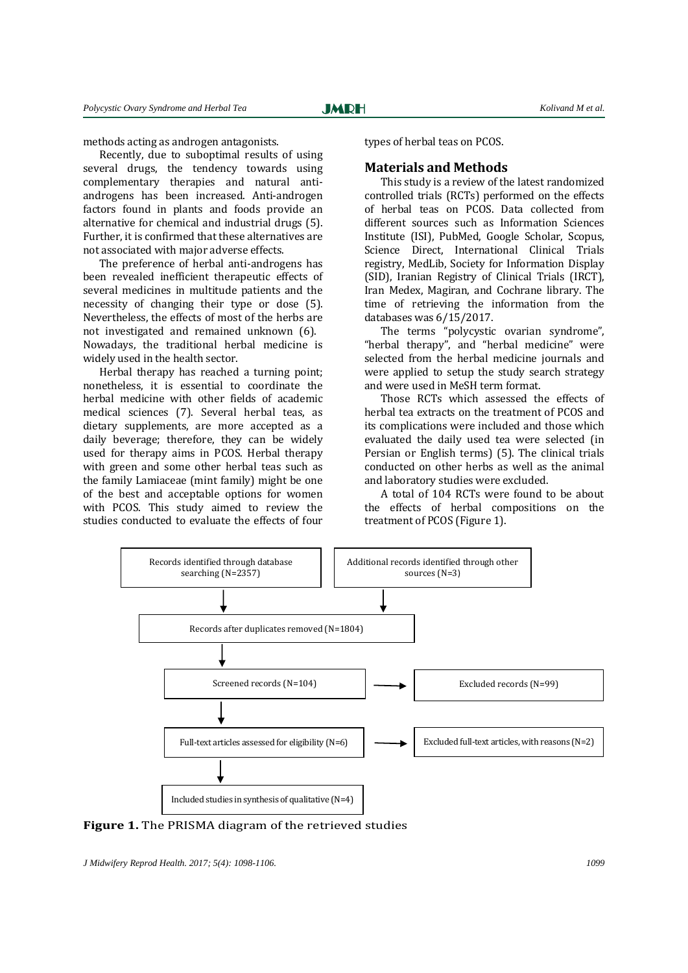methods acting as androgen antagonists.

Recently, due to suboptimal results of using several drugs, the tendency towards using complementary therapies and natural antiandrogens has been increased. Anti-androgen factors found in plants and foods provide an alternative for chemical and industrial drugs (5). Further, it is confirmed that these alternatives are not associated with major adverse effects.

The preference of herbal anti-androgens has been revealed inefficient therapeutic effects of several medicines in multitude patients and the necessity of changing their type or dose (5). Nevertheless, the effects of most of the herbs are not investigated and remained unknown (6). Nowadays, the traditional herbal medicine is widely used in the health sector.

Herbal therapy has reached a turning point; nonetheless, it is essential to coordinate the herbal medicine with other fields of academic medical sciences (7). Several herbal teas, as dietary supplements, are more accepted as a daily beverage; therefore, they can be widely used for therapy aims in PCOS. Herbal therapy with green and some other herbal teas such as the family Lamiaceae (mint family) might be one of the best and acceptable options for women with PCOS. This study aimed to review the studies conducted to evaluate the effects of four

types of herbal teas on PCOS.

### **Materials and Methods**

This study is a review of the latest randomized controlled trials (RCTs) performed on the effects of herbal teas on PCOS. Data collected from different sources such as Information Sciences Institute (ISI), PubMed, Google Scholar, Scopus, Science Direct, International Clinical Trials registry, MedLib, Society for Information Display (SID), Iranian Registry of Clinical Trials (IRCT), Iran Medex, Magiran, and Cochrane library. The time of retrieving the information from the databases was 6/15/2017.

The terms "polycystic ovarian syndrome", "herbal therapy", and "herbal medicine" were selected from the herbal medicine journals and were applied to setup the study search strategy and were used in MeSH term format.

Those RCTs which assessed the effects of herbal tea extracts on the treatment of PCOS and its complications were included and those which evaluated the daily used tea were selected (in Persian or English terms) (5). The clinical trials conducted on other herbs as well as the animal and laboratory studies were excluded.

A total of 104 RCTs were found to be about the effects of herbal compositions on the treatment of PCOS (Figure 1).



**Figure 1.** The PRISMA diagram of the retrieved studies

*J Midwifery Reprod Health. 2017; 5(4): 1098-1106. 1099*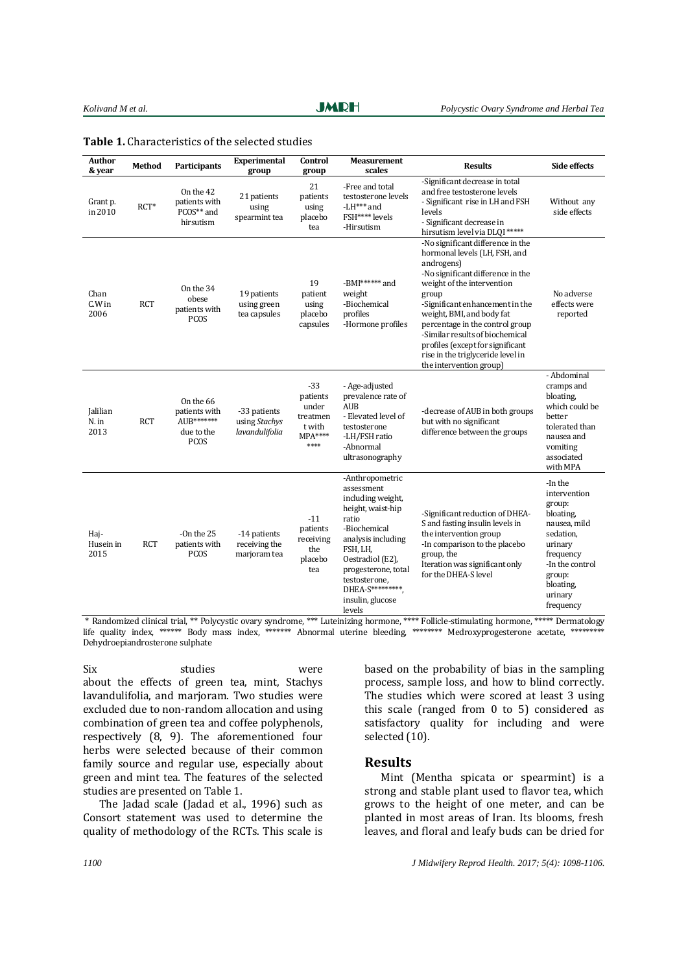| Author<br>& year                 | <b>Method</b> | <b>Participants</b>                                                   | <b>Experimental</b><br>group                    | Control<br>group                                                     | <b>Measurement</b><br>scales                                                                                                                                                                                                                     | <b>Results</b>                                                                                                                                                                                                                                                                                                                                                                                         | <b>Side effects</b>                                                                                                                                                   |
|----------------------------------|---------------|-----------------------------------------------------------------------|-------------------------------------------------|----------------------------------------------------------------------|--------------------------------------------------------------------------------------------------------------------------------------------------------------------------------------------------------------------------------------------------|--------------------------------------------------------------------------------------------------------------------------------------------------------------------------------------------------------------------------------------------------------------------------------------------------------------------------------------------------------------------------------------------------------|-----------------------------------------------------------------------------------------------------------------------------------------------------------------------|
| Grant p.<br>in 2010              | $RCT*$        | On the 42<br>patients with<br>PCOS** and<br>hirsutism                 | 21 patients<br>using<br>spearmint tea           | 21<br>patients<br>using<br>placebo<br>tea                            | -Free and total<br>testosterone levels<br>-LH*** and<br>FSH**** levels<br>-Hirsutism                                                                                                                                                             | -Significant decrease in total<br>and free testosterone levels<br>- Significant rise in LH and FSH<br>levels<br>- Significant decrease in<br>hirsutism level via DLQI *****                                                                                                                                                                                                                            | Without any<br>side effects                                                                                                                                           |
| Chan<br>$C.W$ in<br>2006         | <b>RCT</b>    | On the 34<br>obese<br>patients with<br><b>PCOS</b>                    | 19 patients<br>using green<br>tea capsules      | 19<br>patient<br>using<br>placebo<br>capsules                        | -BMI******* and<br>weight<br>-Biochemical<br>profiles<br>-Hormone profiles                                                                                                                                                                       | -No significant difference in the<br>hormonal levels (LH, FSH, and<br>androgens)<br>-No significant difference in the<br>weight of the intervention<br>group<br>-Significant enhancement in the<br>weight, BMI, and body fat<br>percentage in the control group<br>-Similar results of biochemical<br>profiles (except for significant<br>rise in the triglyceride level in<br>the intervention group) | No adverse<br>effects were<br>reported                                                                                                                                |
| <b>Jalilian</b><br>N. in<br>2013 | <b>RCT</b>    | On the 66<br>patients with<br>AUB*******<br>due to the<br><b>PCOS</b> | -33 patients<br>using Stachys<br>lavandulifolia | $-33$<br>patients<br>under<br>treatmen<br>t with<br>$MPA***$<br>**** | - Age-adjusted<br>prevalence rate of<br><b>AUB</b><br>- Elevated level of<br>testosterone<br>-LH/FSH ratio<br>-Abnormal<br>ultrasonography                                                                                                       | -decrease of AUB in both groups<br>but with no significant<br>difference between the groups                                                                                                                                                                                                                                                                                                            | - Abdominal<br>cramps and<br>bloating.<br>which could be<br>better<br>tolerated than<br>nausea and<br>vomiting<br>associated<br>with MPA                              |
| Hai-<br>Husein in<br>2015        | <b>RCT</b>    | -On the $25$<br>patients with<br>PCOS                                 | -14 patients<br>receiving the<br>marjoram tea   | $-11$<br>patients<br>receiving<br>the<br>placebo<br>tea              | -Anthropometric<br>assessment<br>including weight,<br>height, waist-hip<br>ratio<br>-Biochemical<br>analysis including<br>FSH, LH,<br>Oestradiol (E2),<br>progesterone, total<br>testosterone,<br>DHEA-S*********,<br>insulin, glucose<br>levels | -Significant reduction of DHEA-<br>S and fasting insulin levels in<br>the intervention group<br>-In comparison to the placebo<br>group, the<br>Iteration was significant only<br>for the DHEA-S level                                                                                                                                                                                                  | -In the<br>intervention<br>group:<br>bloating,<br>nausea, mild<br>sedation,<br>urinary<br>frequency<br>-In the control<br>group:<br>bloating,<br>urinary<br>frequency |

\* Randomized clinical trial, \*\* Polycystic ovary syndrome, \*\*\* Luteinizing hormone, \*\*\*\* Follicle-stimulating hormone, \*\*\*\*\* Dermatology life quality index, \*\*\*\*\*\*\* Body mass index, \*\*\*\*\*\*\* Abnormal uterine bleeding, \*\*\*\*\*\*\*\* Medroxyprogesterone acetate, \*\*\*\* Dehydroepiandrosterone sulphate

Six studies were about the effects of green tea, mint, Stachys lavandulifolia, and marjoram. Two studies were excluded due to non-random allocation and using combination of green tea and coffee polyphenols, respectively (8, 9). The aforementioned four herbs were selected because of their common family source and regular use, especially about green and mint tea*.* The features of the selected studies are presented on Table 1.

The Jadad scale (Jadad et al., 1996) such as Consort statement was used to determine the quality of methodology of the RCTs. This scale is

based on the probability of bias in the sampling process, sample loss, and how to blind correctly. The studies which were scored at least 3 using this scale (ranged from 0 to 5) considered as satisfactory quality for including and were selected (10).

#### **Results**

Mint (Mentha spicata or spearmint) is a strong and stable plant used to flavor tea, which grows to the height of one meter, and can be planted in most areas of Iran. Its blooms, fresh leaves, and floral and leafy buds can be dried for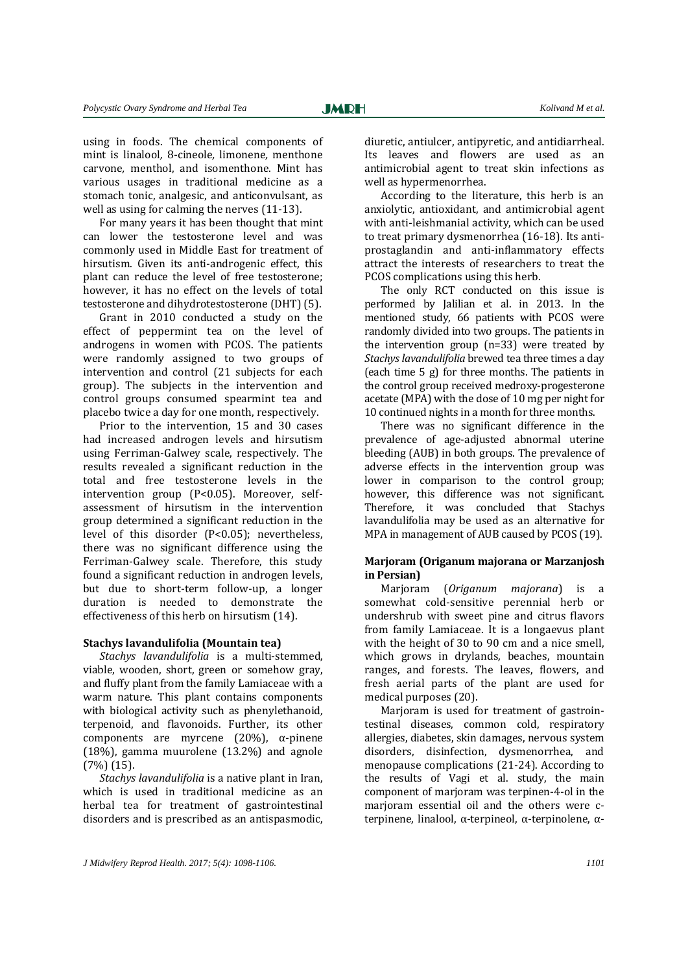using in foods. The chemical components of mint is linalool*,* 8-cineole*,* limonene*,* menthone carvone*,* menthol, and isomenthone. Mint has various usages in traditional medicine as a stomach tonic, analgesic, and anticonvulsant, as well as using for calming the nerves (11-13).

For many years it has been thought that mint can lower the testosterone level and was commonly used in Middle East for treatment of hirsutism. Given its anti-androgenic effect, this plant can reduce the level of free testosterone; however, it has no effect on the levels of total testosterone and dihydrotestosterone (DHT) (5).

Grant in 2010 conducted a study on the effect of peppermint tea on the level of androgens in women with PCOS. The patients were randomly assigned to two groups of intervention and control (21 subjects for each group). The subjects in the intervention and control groups consumed spearmint tea and placebo twice a day for one month, respectively.

Prior to the intervention, 15 and 30 cases had increased androgen levels and hirsutism using Ferriman-Galwey scale, respectively. The results revealed a significant reduction in the total and free testosterone levels in the intervention group (P<0.05). Moreover, selfassessment of hirsutism in the intervention group determined a significant reduction in the level of this disorder (P<0.05); nevertheless, there was no significant difference using the Ferriman-Galwey scale. Therefore, this study found a significant reduction in androgen levels, but due to short-term follow-up, a longer duration is needed to demonstrate the effectiveness of this herb on hirsutism (14).

#### **Stachys lavandulifolia (Mountain tea)**

*Stachys lavandulifolia* is a multi-stemmed, viable, wooden, short, green or somehow gray, and fluffy plant from the family Lamiaceae with a warm nature. This plant contains components with biological activity such as phenylethanoid*,*  terpenoid, and flavonoids. Further, its other components are myrcene (20%), α-pinene (18%), gamma muurolene (13.2%) and agnole (7%) (15).

*Stachys lavandulifolia* is a native plant in Iran, which is used in traditional medicine as an herbal tea for treatment of gastrointestinal disorders and is prescribed as an antispasmodic, diuretic, antiulcer, antipyretic, and antidiarrheal. Its leaves and flowers are used as an antimicrobial agent to treat skin infections as well as hypermenorrhea.

According to the literature, this herb is an anxiolytic, antioxidant, and antimicrobial agent with anti-leishmanial activity, which can be used to treat primary dysmenorrhea (16-18). Its antiprostaglandin and anti-inflammatory effects attract the interests of researchers to treat the PCOS complications using this herb.

The only RCT conducted on this issue is performed by Jalilian et al. in 2013. In the mentioned study, 66 patients with PCOS were randomly divided into two groups. The patients in the intervention group (n=33) were treated by *Stachys lavandulifolia* brewed tea three times a day (each time 5 g) for three months. The patients in the control group received medroxy-progesterone acetate (MPA) with the dose of 10 mg per night for 10 continued nights in a month for three months.

There was no significant difference in the prevalence of age-adjusted abnormal uterine bleeding (AUB) in both groups. The prevalence of adverse effects in the intervention group was lower in comparison to the control group; however, this difference was not significant. Therefore, it was concluded that Stachys lavandulifolia may be used as an alternative for MPA in management of AUB caused by PCOS (19).

### **Marjoram (Origanum majorana or Marzanjosh in Persian)**

Marjoram (*[Origanum](http://en.wikipedia.org/wiki/Origanum) majorana*) is a somewhat cold-sensitive [perennial](http://en.wikipedia.org/wiki/Perennial_plant) [herb](http://en.wikipedia.org/wiki/Herb) or undershrub with sweet [pine](http://en.wikipedia.org/wiki/Pine) and [citrus](http://en.wikipedia.org/wiki/Citrus) flavors from family Lamiaceae. It is a longaevus plant with the height of 30 to 90 cm and a nice smell, which grows in drylands, beaches, mountain ranges, and forests. The leaves, flowers, and fresh aerial parts of the plant are used for medical purposes (20).

Marjoram is used for treatment of gastrointestinal diseases, common cold, respiratory allergies, diabetes, skin damages, nervous system disorders, disinfection, dysmenorrhea, and menopause complications (21-24). According to the results of Vagi et al. study, the main component of marjoram was terpinen-4-ol in the marjoram essential oil and the others were cterpinene, linalool, α-terpineol, α-terpinolene, α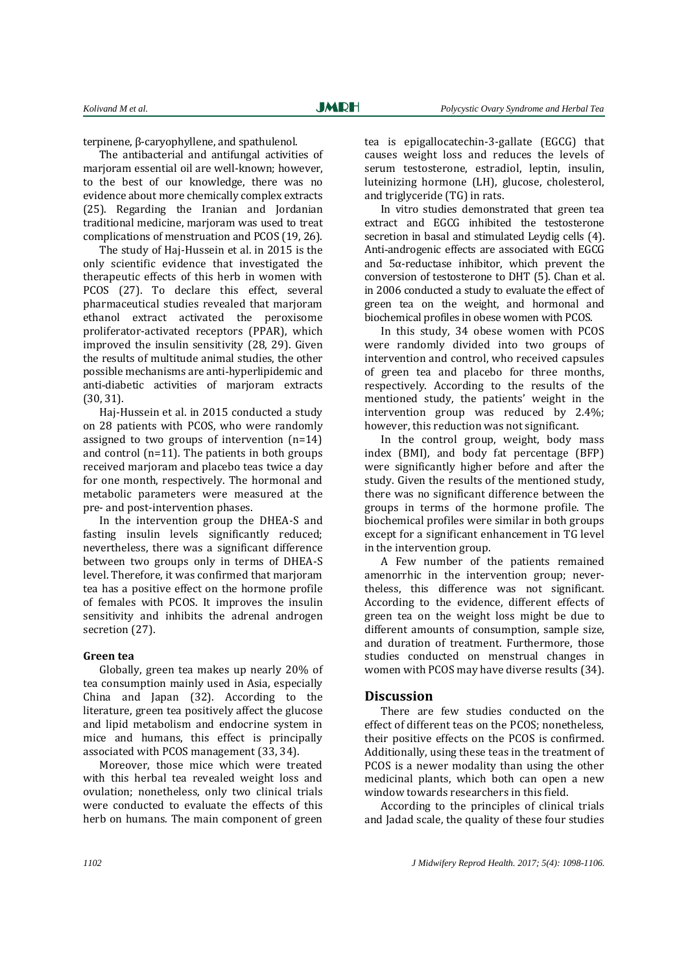terpinene, β-caryophyllene, and spathulenol.

The antibacterial and antifungal activities of marjoram essential oil are well-known; however, to the best of our knowledge, there was no evidence about more chemically complex extracts (25). Regarding the Iranian and Jordanian traditional medicine, marjoram was used to treat complications of menstruation and PCOS (19, 26).

The study of Haj-Hussein et al. in 2015 is the only scientific evidence that investigated the therapeutic effects of this herb in women with PCOS (27). To declare this effect, several pharmaceutical studies revealed that marjoram ethanol extract activated the peroxisome proliferator-activated receptors (PPAR), which improved the insulin sensitivity (28, 29). Given the results of multitude animal studies, the other possible mechanisms are anti-hyperlipidemic and anti-diabetic activities of marjoram extracts (30, 31).

Haj-Hussein et al. in 2015 conducted a study on 28 patients with PCOS, who were randomly assigned to two groups of intervention (n=14) and control (n=11). The patients in both groups received marjoram and placebo teas twice a day for one month, respectively. The hormonal and metabolic parameters were measured at the pre- and post-intervention phases.

In the intervention group the DHEA-S and fasting insulin levels significantly reduced; nevertheless, there was a significant difference between two groups only in terms of DHEA-S level. Therefore, it was confirmed that marjoram tea has a positive effect on the hormone profile of females with PCOS. It improves the insulin sensitivity and inhibits the adrenal androgen secretion (27).

#### **Green tea**

Globally, green tea makes up nearly 20% of tea consumption mainly used in Asia, especially China and Japan (32). According to the literature, green tea positively affect the glucose and lipid metabolism and endocrine system in mice and humans, this effect is principally associated with PCOS management (33, 34).

Moreover, those mice which were treated with this herbal tea revealed weight loss and ovulation; nonetheless, only two clinical trials were conducted to evaluate the effects of this herb on humans. The main component of green

tea is epigallocatechin-3-gallate (EGCG) that causes weight loss and reduces the levels of serum testosterone, estradiol, leptin, insulin, luteinizing hormone (LH), glucose, cholesterol, and triglyceride (TG) in rats.

In vitro studies demonstrated that green tea extract and EGCG inhibited the testosterone secretion in basal and stimulated Leydig cells (4). Anti-androgenic effects are associated with EGCG and 5α-reductase inhibitor, which prevent the conversion of testosterone to DHT (5). Chan et al. in 2006 conducted a study to evaluate the effect of green tea on the weight, and hormonal and biochemical profiles in obese women with PCOS.

In this study, 34 obese women with PCOS were randomly divided into two groups of intervention and control, who received capsules of green tea and placebo for three months, respectively. According to the results of the mentioned study, the patients' weight in the intervention group was reduced by 2.4%; however, this reduction was not significant.

In the control group, weight, body mass index (BMI), and body fat percentage (BFP) were significantly higher before and after the study. Given the results of the mentioned study, there was no significant difference between the groups in terms of the hormone profile. The biochemical profiles were similar in both groups except for a significant enhancement in TG level in the intervention group.

A Few number of the patients remained amenorrhic in the intervention group; nevertheless, this difference was not significant. According to the evidence, different effects of green tea on the weight loss might be due to different amounts of consumption, sample size, and duration of treatment. Furthermore, those studies conducted on menstrual changes in women with PCOS may have diverse results (34).

#### **Discussion**

There are few studies conducted on the effect of different teas on the PCOS; nonetheless, their positive effects on the PCOS is confirmed. Additionally, using these teas in the treatment of PCOS is a newer modality than using the other medicinal plants, which both can open a new window towards researchers in this field.

According to the principles of clinical trials and Jadad scale, the quality of these four studies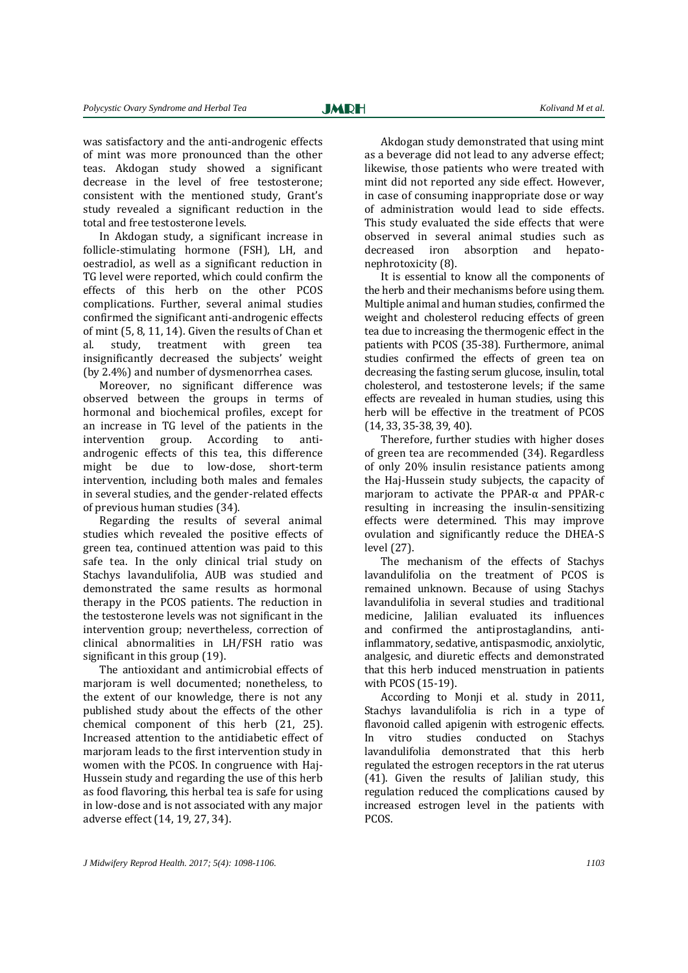was satisfactory and the anti-androgenic effects of mint was more pronounced than the other teas. Akdogan study showed a significant decrease in the level of free testosterone; consistent with the mentioned study, Grant's study revealed a significant reduction in the total and free testosterone levels.

In Akdogan study, a significant increase in follicle-stimulating hormone (FSH), LH, and oestradiol, as well as a significant reduction in TG level were reported, which could confirm the effects of this herb on the other PCOS complications. Further, several animal studies confirmed the significant anti-androgenic effects of mint (5, 8, 11, 14). Given the results of Chan et al. study, treatment with green tea insignificantly decreased the subjects' weight (by 2.4%) and number of dysmenorrhea cases.

Moreover, no significant difference was observed between the groups in terms of hormonal and biochemical profiles, except for an increase in TG level of the patients in the intervention group. According to antiandrogenic effects of this tea, this difference might be due to low-dose, short-term intervention, including both males and females in several studies, and the gender-related effects of previous human studies (34).

Regarding the results of several animal studies which revealed the positive effects of green tea, continued attention was paid to this safe tea. In the only clinical trial study on Stachys lavandulifolia, AUB was studied and demonstrated the same results as hormonal therapy in the PCOS patients. The reduction in the testosterone levels was not significant in the intervention group; nevertheless, correction of clinical abnormalities in LH/FSH ratio was significant in this group (19).

The antioxidant and antimicrobial effects of marioram is well documented; nonetheless, to the extent of our knowledge, there is not any published study about the effects of the other chemical component of this herb (21, 25). Increased attention to the antidiabetic effect of marjoram leads to the first intervention study in women with the PCOS. In congruence with Haj-Hussein study and regarding the use of this herb as food flavoring, this herbal tea is safe for using in low-dose and is not associated with any major adverse effect (14, 19, 27, 34).

Akdogan study demonstrated that using mint as a beverage did not lead to any adverse effect; likewise, those patients who were treated with mint did not reported any side effect. However, in case of consuming inappropriate dose or way of administration would lead to side effects. This study evaluated the side effects that were observed in several animal studies such as decreased iron absorption and hepatonephrotoxicity (8).

It is essential to know all the components of the herb and their mechanisms before using them. Multiple animal and human studies, confirmed the weight and cholesterol reducing effects of green tea due to increasing the thermogenic effect in the patients with PCOS (35-38). Furthermore, animal studies confirmed the effects of green tea on decreasing the fasting serum glucose, insulin, total cholesterol, and testosterone levels; if the same effects are revealed in human studies, using this herb will be effective in the treatment of PCOS (14, 33, 35-38, 39, 40).

Therefore, further studies with higher doses of green tea are recommended (34). Regardless of only 20% insulin resistance patients among the Haj-Hussein study subjects, the capacity of marjoram to activate the PPAR-α and PPAR-c resulting in increasing the insulin-sensitizing effects were determined. This may improve ovulation and significantly reduce the DHEA-S level (27).

The mechanism of the effects of Stachys lavandulifolia on the treatment of PCOS is remained unknown. Because of using Stachys lavandulifolia in several studies and traditional medicine, Jalilian evaluated its influences and confirmed the antiprostaglandins, antiinflammatory, sedative, antispasmodic, anxiolytic, analgesic, and diuretic effects and demonstrated that this herb induced menstruation in patients with PCOS (15-19).

According to Monji et al. study in 2011, Stachys lavandulifolia is rich in a type of flavonoid called apigenin with estrogenic effects. In vitro studies conducted on Stachys lavandulifolia demonstrated that this herb regulated the estrogen receptors in the rat uterus (41). Given the results of Jalilian study, this regulation reduced the complications caused by increased estrogen level in the patients with PCOS.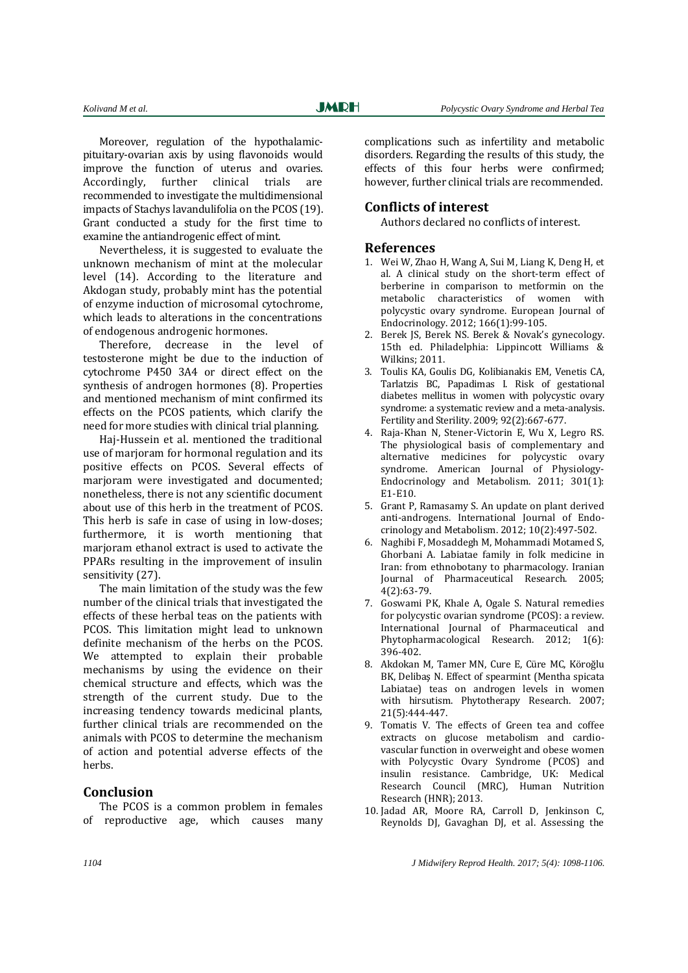Moreover, regulation of the hypothalamicpituitary-ovarian axis by using flavonoids would improve the function of uterus and ovaries. Accordingly, further clinical trials are recommended to investigate the multidimensional impacts of Stachys lavandulifolia on the PCOS (19). Grant conducted a study for the first time to examine the antiandrogenic effect of mint.

Nevertheless, it is suggested to evaluate the unknown mechanism of mint at the molecular level (14). According to the literature and Akdogan study, probably mint has the potential of enzyme induction of microsomal cytochrome, which leads to alterations in the concentrations of endogenous androgenic hormones.

Therefore, decrease in the level of testosterone might be due to the induction of cytochrome P450 3A4 or direct effect on the synthesis of androgen hormones (8). Properties and mentioned mechanism of mint confirmed its effects on the PCOS patients, which clarify the need for more studies with clinical trial planning.

Haj-Hussein et al. mentioned the traditional use of marjoram for hormonal regulation and its positive effects on PCOS. Several effects of marioram were investigated and documented: nonetheless, there is not any scientific document about use of this herb in the treatment of PCOS. This herb is safe in case of using in low-doses; furthermore, it is worth mentioning that marjoram ethanol extract is used to activate the PPARs resulting in the improvement of insulin sensitivity (27).

The main limitation of the study was the few number of the clinical trials that investigated the effects of these herbal teas on the patients with PCOS. This limitation might lead to unknown definite mechanism of the herbs on the PCOS. We attempted to explain their probable mechanisms by using the evidence on their chemical structure and effects, which was the strength of the current study. Due to the increasing tendency towards medicinal plants, further clinical trials are recommended on the animals with PCOS to determine the mechanism of action and potential adverse effects of the herbs.

## **Conclusion**

The PCOS is a common problem in females of reproductive age, which causes many complications such as infertility and metabolic disorders. Regarding the results of this study, the effects of this four herbs were confirmed; however, further clinical trials are recommended.

## **Conflicts of interest**

Authors declared no conflicts of interest.

### **References**

- 1. Wei W, Zhao H, Wang A, Sui M, Liang K, Deng H, et al. A clinical study on the short-term effect of berberine in comparison to metformin on the metabolic characteristics of women with polycystic ovary syndrome. European Journal of Endocrinology. 2012; 166(1):99-105.
- 2. Berek JS, Berek NS. Berek & Novak's gynecology. 15th ed. Philadelphia: Lippincott Williams & Wilkins; 2011.
- 3. Toulis KA, Goulis DG, Kolibianakis EM, Venetis CA, Tarlatzis BC, Papadimas I. Risk of gestational diabetes mellitus in women with polycystic ovary syndrome: a systematic review and a meta-analysis. Fertility and Sterility. 2009; 92(2):667-677.
- 4. Raja-Khan N, Stener-Victorin E, Wu X, Legro RS. The physiological basis of complementary and alternative medicines for polycystic ovary syndrome. American Journal of Physiology-Endocrinology and Metabolism. 2011; 301(1): E1-E10.
- 5. Grant P, Ramasamy S. An update on plant derived anti-androgens. International Journal of Endocrinology and Metabolism. 2012; 10(2):497-502.
- 6. Naghibi F, Mosaddegh M, Mohammadi Motamed S, Ghorbani A. Labiatae family in folk medicine in Iran: from ethnobotany to pharmacology. Iranian Journal of Pharmaceutical Research. 2005;  $4(2)$ :63-79.
- 7. Goswami PK, Khale A, Ogale S. Natural remedies for polycystic ovarian syndrome (PCOS): a review. International Journal of Pharmaceutical and Phytopharmacological Research. 2012; 1(6): 396-402.
- 8. Akdokan M, Tamer MN, Cure E, Cüre MC, Köroğlu BK, Delibaş N. Effect of spearmint (Mentha spicata Labiatae) teas on androgen levels in women with hirsutism. Phytotherapy Research. 2007; 21(5):444-447.
- 9. Tomatis V. The effects of Green tea and coffee extracts on glucose metabolism and cardiovascular function in overweight and obese women with Polycystic Ovary Syndrome (PCOS) and insulin resistance. Cambridge, UK: Medical Research Council (MRC), Human Nutrition Research (HNR); 2013.
- 10. Jadad AR, Moore RA, Carroll D, Jenkinson C, Reynolds DJ, Gavaghan DJ, et al. Assessing the

*1104 J Midwifery Reprod Health. 2017; 5(4): 1098-1106.*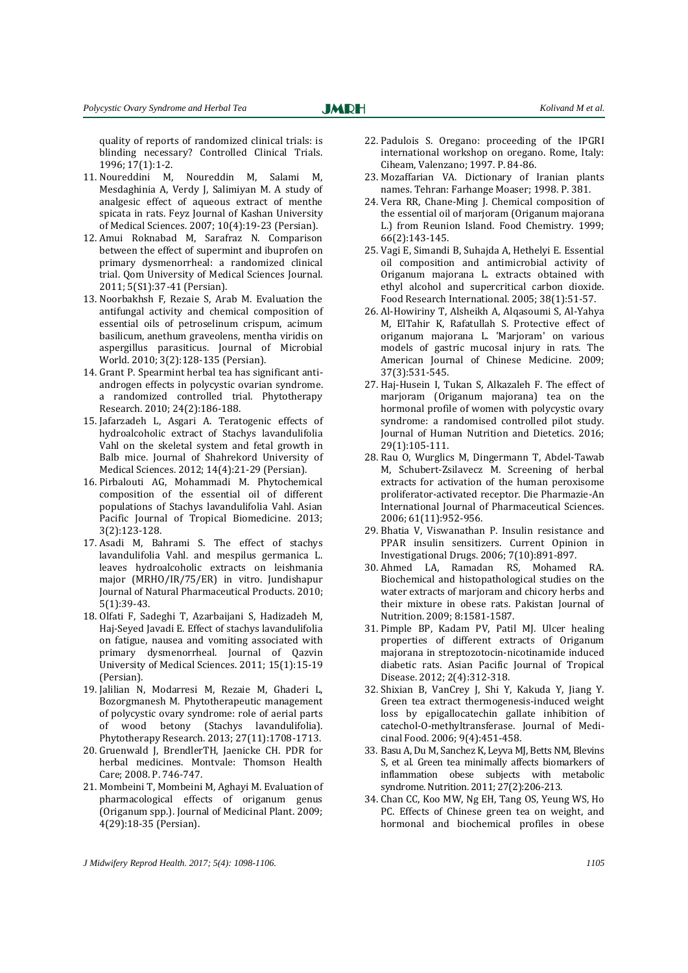quality of reports of randomized clinical trials: is blinding necessary? Controlled Clinical Trials. 1996; 17(1):1-2.

**JMRH** 

- 11. Noureddini M, Noureddin M, Salami M, Mesdaghinia A, Verdy J, Salimiyan M. A study of analgesic effect of aqueous extract of menthe spicata in rats. Feyz Journal of Kashan University of Medical Sciences. 2007; 10(4):19-23 (Persian).
- 12. Amui Roknabad M, Sarafraz N. Comparison between the effect of supermint and ibuprofen on primary dysmenorrheal: a randomized clinical trial. Qom University of Medical Sciences Journal. 2011; 5(S1):37-41 (Persian).
- 13. Noorbakhsh F, Rezaie S, Arab M. Evaluation the antifungal activity and chemical composition of essential oils of petroselinum crispum, acimum basilicum, anethum graveolens, mentha viridis on aspergillus parasiticus. Journal of Microbial World. 2010; 3(2):128-135 (Persian).
- 14. Grant P. Spearmint herbal tea has significant antiandrogen effects in polycystic ovarian syndrome. a randomized controlled trial. Phytotherapy Research. 2010; 24(2):186-188.
- 15. Jafarzadeh L, Asgari A. Teratogenic effects of hydroalcoholic extract of Stachys lavandulifolia Vahl on the skeletal system and fetal growth in Balb mice. Journal of Shahrekord University of Medical Sciences. 2012; 14(4):21-29 (Persian).
- 16. Pirbalouti AG, Mohammadi M. Phytochemical composition of the essential oil of different populations of Stachys lavandulifolia Vahl. Asian Pacific Journal of Tropical Biomedicine. 2013; 3(2):123-128.
- 17. Asadi M, Bahrami S. The effect of stachys lavandulifolia Vahl. and mespilus germanica L. leaves hydroalcoholic extracts on leishmania major (MRHO/IR/75/ER) in vitro. Jundishapur Journal of Natural Pharmaceutical Products. 2010; 5(1):39-43.
- 18. Olfati F, Sadeghi T, Azarbaijani S, Hadizadeh M, Haj-Seyed Javadi E. Effect of stachys lavandulifolia on fatigue, nausea and vomiting associated with primary dysmenorrheal. Journal of Qazvin University of Medical Sciences. 2011; 15(1):15-19 (Persian).
- 19. Jalilian N, Modarresi M, Rezaie M, Ghaderi L, Bozorgmanesh M. Phytotherapeutic management of polycystic ovary syndrome: role of aerial parts of wood betony (Stachys lavandulifolia). Phytotherapy Research. 2013; 27(11):1708-1713.
- 20. Gruenwald J, BrendlerTH, Jaenicke CH. PDR for herbal medicines. Montvale: Thomson Health Care; 2008. P. 746-747.
- 21. Mombeini T, Mombeini M, Aghayi M. Evaluation of pharmacological effects of origanum genus (Origanum spp.). Journal of Medicinal Plant. 2009; 4(29):18-35 (Persian).
- 22. Padulois S. Oregano: proceeding of the IPGRI international workshop on oregano. Rome, Italy: Ciheam, Valenzano; 1997. P. 84-86.
- 23. Mozaffarian VA. Dictionary of Iranian plants names. Tehran: Farhange Moaser; 1998. P. 381.
- 24. Vera RR, Chane-Ming J. Chemical composition of the essential oil of marjoram (Origanum majorana L.) from Reunion Island. Food Chemistry. 1999; 66(2):143-145.
- 25. Vagi E, Simandi B, Suhajda A, Hethelyi E. Essential oil composition and antimicrobial activity of Origanum majorana L. extracts obtained with ethyl alcohol and supercritical carbon dioxide. Food Research International. 2005; 38(1):51-57.
- 26. Al-Howiriny T, Alsheikh A, Alqasoumi S, Al-Yahya M, ElTahir K, Rafatullah S. Protective effect of origanum majorana L. 'Marjoram' on various models of gastric mucosal injury in rats. The American Journal of Chinese Medicine. 2009; 37(3):531-545.
- 27. Haj-Husein I, Tukan S, Alkazaleh F. The effect of marjoram (Origanum majorana) tea on the hormonal profile of women with polycystic ovary syndrome: a randomised controlled pilot study. Journal of Human Nutrition and Dietetics. 2016; 29(1):105-111.
- 28. Rau O, Wurglics M, Dingermann T, Abdel-Tawab M, Schubert-Zsilavecz M. Screening of herbal extracts for activation of the human peroxisome proliferator-activated receptor. Die Pharmazie-An International Journal of Pharmaceutical Sciences. 2006; 61(11):952-956.
- 29. Bhatia V, Viswanathan P. Insulin resistance and PPAR insulin sensitizers. Current Opinion in Investigational Drugs. 2006; 7(10):891-897.
- 30. Ahmed LA, Ramadan RS, Mohamed RA. Biochemical and histopathological studies on the water extracts of marjoram and chicory herbs and their mixture in obese rats. Pakistan Journal of Nutrition. 2009; 8:1581-1587.
- 31. Pimple BP, Kadam PV, Patil MJ. Ulcer healing properties of different extracts of Origanum majorana in streptozotocin-nicotinamide induced diabetic rats. Asian Pacific Journal of Tropical Disease. 2012; 2(4):312-318.
- 32. Shixian B, VanCrey J, Shi Y, Kakuda Y, Jiang Y. Green tea extract thermogenesis-induced weight loss by epigallocatechin gallate inhibition of catechol-O-methyltransferase. Journal of Medicinal Food. 2006; 9(4):451-458.
- 33. Basu A, Du M, Sanchez K, Leyva MJ, Betts NM, Blevins S, et al. Green tea minimally affects biomarkers of inflammation obese subjects with metabolic syndrome. Nutrition. 2011; 27(2):206-213.
- 34. Chan CC, Koo MW, Ng EH, Tang OS, Yeung WS, Ho PC. Effects of Chinese green tea on weight, and hormonal and biochemical profiles in obese

*J Midwifery Reprod Health. 2017; 5(4): 1098-1106. 1105*